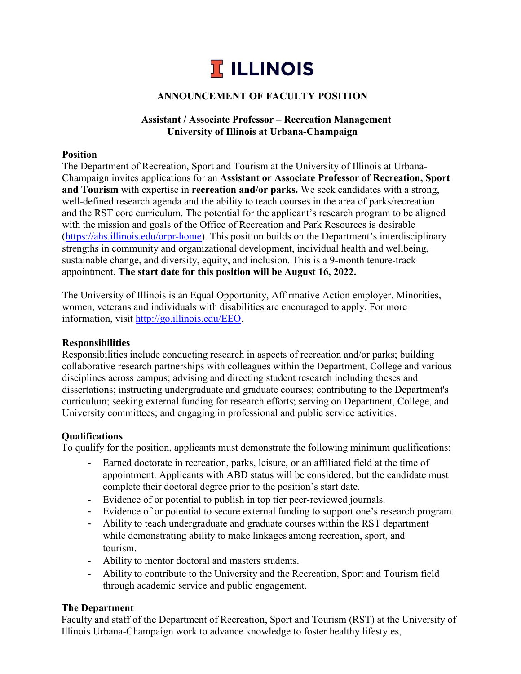

### **ANNOUNCEMENT OF FACULTY POSITION**

### **Assistant / Associate Professor – Recreation Management University of Illinois at Urbana-Champaign**

#### **Position**

The Department of Recreation, Sport and Tourism at the University of Illinois at Urbana-Champaign invites applications for an **Assistant or Associate Professor of Recreation, Sport and Tourism** with expertise in **recreation and/or parks.** We seek candidates with a strong, well-defined research agenda and the ability to teach courses in the area of parks/recreation and the RST core curriculum. The potential for the applicant's research program to be aligned with the mission and goals of the Office of Recreation and Park Resources is desirable [\(https://ahs.illinois.edu/orpr-home\)](https://ahs.illinois.edu/orpr-home). This position builds on the Department's interdisciplinary strengths in community and organizational development, individual health and wellbeing, sustainable change, and diversity, equity, and inclusion. This is a 9-month tenure-track appointment. **The start date for this position will be August 16, 2022.**

The University of Illinois is an Equal Opportunity, Affirmative Action employer. Minorities, women, veterans and individuals with disabilities are encouraged to apply. For more information, visit [http://go.illinois.edu/EEO.](http://go.illinois.edu/EEO)

### **Responsibilities**

Responsibilities include conducting research in aspects of recreation and/or parks; building collaborative research partnerships with colleagues within the Department, College and various disciplines across campus; advising and directing student research including theses and dissertations; instructing undergraduate and graduate courses; contributing to the Department's curriculum; seeking external funding for research efforts; serving on Department, College, and University committees; and engaging in professional and public service activities.

### **Qualifications**

To qualify for the position, applicants must demonstrate the following minimum qualifications:

- Earned doctorate in recreation, parks, leisure, or an affiliated field at the time of appointment. Applicants with ABD status will be considered, but the candidate must complete their doctoral degree prior to the position's start date.
- Evidence of or potential to publish in top tier peer-reviewed journals.
- Evidence of or potential to secure external funding to support one's research program.
- Ability to teach undergraduate and graduate courses within the RST department while demonstrating ability to make linkages among recreation, sport, and tourism.
- Ability to mentor doctoral and masters students.
- Ability to contribute to the University and the Recreation, Sport and Tourism field through academic service and public engagement.

### **The Department**

Faculty and staff of the Department of Recreation, Sport and Tourism (RST) at the University of Illinois Urbana-Champaign work to advance knowledge to foster healthy lifestyles,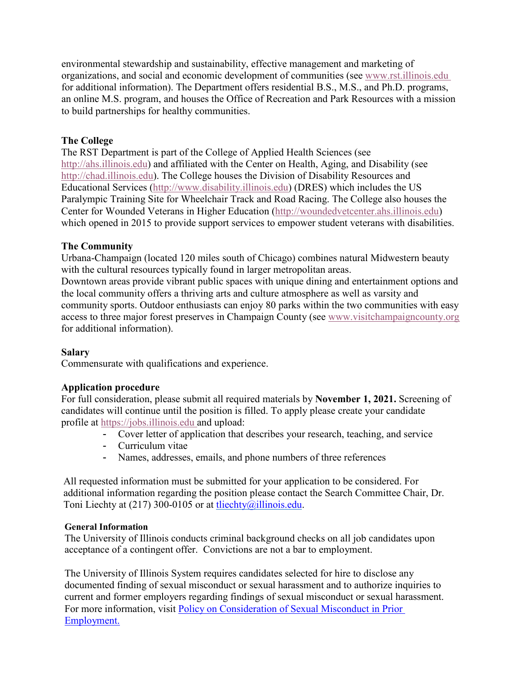environmental stewardship and sustainability, effective management and marketing of organizations, and social and economic development of communities (see [www.rst.illinois.edu](http://www.rst.illinois.edu/) for additional information). The Department offers residential B.S., M.S., [and Ph.D. programs,](http://www.rst.illinois.edu/) an online M.S. program, and houses the Office of Recreation and Park Resources with a mission to build partnerships for healthy communities.

# **The College**

The RST Department is part of the College of Applied Health Sciences (see [http://ahs.illinois.edu\)](http://ahs.illinois.edu/) and affiliated with the Center on Health, Aging, and Disability (see [http://chad.illinois.edu\)](http://chad.illinois.edu/). The College houses the Division of Disability Resources and Educational Services [\(http://www.disability.illinois.edu\)](http://www.disability.illinois.edu/) (DRES) which includes the US Paralympic Training Site for Wheelchair Track and Road Racing. The College also houses the Center for Wounded Veterans in Higher Education [\(http://woundedvetcenter.ahs.illinois.edu\)](http://woundedvetcenter.ahs.illinois.edu/) which opened in 2015 to provide support services to empower student veterans with disabilities.

## **The Community**

Urbana-Champaign (located 120 miles south of Chicago) combines natural Midwestern beauty with the cultural resources typically found in larger metropolitan areas. Downtown areas provide vibrant public spaces with unique dining and entertainment options and the local community offers a thriving arts and culture atmosphere as well as varsity and community sports. Outdoor enthusiasts can enjoy 80 parks within the two communities with easy access to three major forest preserves in Champaign County (see [www.visitchampaigncounty.org](http://www.visitchampaigncounty.org/) for additional information).

## **Salary**

Commensurate with qualifications and experience.

## **Application procedure**

For full consideration, please submit all required materials by **November 1, 2021.** Screening of candidates will continue until the position is filled. To apply please create your candidate profile at [https://jobs.illinois.edu a](https://jobs.illinois.edu/)nd upload:

- Cover letter of application that describes your research, teaching, and service
- Curriculum vitae
- Names, addresses, emails, and phone numbers of three references

All requested information must be submitted for your application to be considered. For additional information regarding the position please contact the Search Committee Chair, Dr. Toni Liechty at (217) 300-0105 or at [tliechty@illinois.edu.](mailto:tliechty@illinois.edu)

## **General Information**

The University of Illinois conducts criminal background checks on all job candidates upon acceptance of a contingent offer. Convictions are not a bar to employment.

The University of Illinois System requires candidates selected for hire to disclose any documented finding of sexual misconduct or sexual harassment and to authorize inquiries to current and former employers regarding findings of sexual misconduct or sexual harassment. For more information, visit [Policy on Consideration of Sexual Misconduct in Prior](https://urldefense.com/v3/__http:/email.hiretouch.com/ls/click?upn=9qMFqK5puEd81iNElG7AoM82OZ9svL5Lr4SA7zg-2B3tezzJnHqHWDpbM5kDHuAiqTPWqYfr6GwNmO8FfnLm31O7wRuVb8ELM4-2F0khj2Xjp80-3DaTVM_pXNa3Z-2FPjxDgLl1qPTCIJDiJUapwozT7FHCNUcJFywSPBln9It7D3SUZ2L1BHiMxvY-2FrzMMYI-2Bm4ABBL6QuewHMFEapoIgqEQfzmTe621orchHctUebXO5xTlsV4N1ijapuCogO8MRHl2HS9ez2UKnu-2FLGiWf0nugBV8XYS-2B9po2td9tOFKZIPZJ933VHCLir1Gv7Kej1eeoKzfu4BB5ilZT01Jicd1XRhpif55N7v9GRMXJgske8ftHxYxS44QJEYX7lK6y8c8TKBAW6MfayHDY8otqoepPeQS7qKU-2BHhxSN2rsoYcd7LmzOgBdd-2FpZqafyO1-2BEKRt6wChe3U3l0A-3D-3D__;!!DZ3fjg!uubkMzvndfh9RTS2ljKmpiMxJLkKHtNoYNpBUPO_C6DWOXBQ5TW-eIIl_kJUKRveWg$)  [Employment.](https://urldefense.com/v3/__http:/email.hiretouch.com/ls/click?upn=9qMFqK5puEd81iNElG7AoM82OZ9svL5Lr4SA7zg-2B3tezzJnHqHWDpbM5kDHuAiqTPWqYfr6GwNmO8FfnLm31O7wRuVb8ELM4-2F0khj2Xjp80-3DaTVM_pXNa3Z-2FPjxDgLl1qPTCIJDiJUapwozT7FHCNUcJFywSPBln9It7D3SUZ2L1BHiMxvY-2FrzMMYI-2Bm4ABBL6QuewHMFEapoIgqEQfzmTe621orchHctUebXO5xTlsV4N1ijapuCogO8MRHl2HS9ez2UKnu-2FLGiWf0nugBV8XYS-2B9po2td9tOFKZIPZJ933VHCLir1Gv7Kej1eeoKzfu4BB5ilZT01Jicd1XRhpif55N7v9GRMXJgske8ftHxYxS44QJEYX7lK6y8c8TKBAW6MfayHDY8otqoepPeQS7qKU-2BHhxSN2rsoYcd7LmzOgBdd-2FpZqafyO1-2BEKRt6wChe3U3l0A-3D-3D__;!!DZ3fjg!uubkMzvndfh9RTS2ljKmpiMxJLkKHtNoYNpBUPO_C6DWOXBQ5TW-eIIl_kJUKRveWg$)